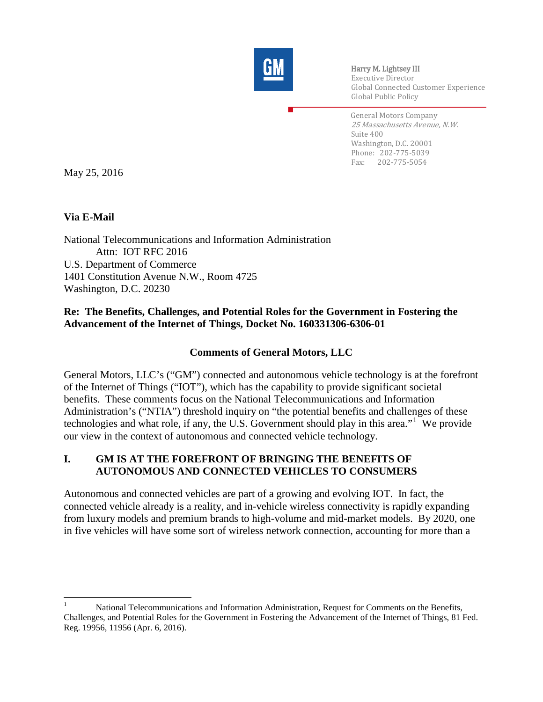

Harry M. Lightsey III Executive Director Global Connected Customer Experience Global Public Policy

General Motors Company 25 Massachusetts Avenue, N.W. Suite 400 Washington, D.C. 20001 Phone: 202-775-5039 Fax: 202-775-5054

May 25, 2016

### **Via E-Mail**

National Telecommunications and Information Administration Attn: IOT RFC 2016 U.S. Department of Commerce 1401 Constitution Avenue N.W., Room 4725 Washington, D.C. 20230

## **Re: The Benefits, Challenges, and Potential Roles for the Government in Fostering the Advancement of the Internet of Things, Docket No. 160331306-6306-01**

### **Comments of General Motors, LLC**

General Motors, LLC's ("GM") connected and autonomous vehicle technology is at the forefront of the Internet of Things ("IOT"), which has the capability to provide significant societal benefits. These comments focus on the National Telecommunications and Information Administration's ("NTIA") threshold inquiry on "the potential benefits and challenges of these technologies and what role, if any, the U.S. Government should play in this area."<sup>[1](#page-0-0)</sup> We provide our view in the context of autonomous and connected vehicle technology.

#### **I. GM IS AT THE FOREFRONT OF BRINGING THE BENEFITS OF AUTONOMOUS AND CONNECTED VEHICLES TO CONSUMERS**

Autonomous and connected vehicles are part of a growing and evolving IOT. In fact, the connected vehicle already is a reality, and in-vehicle wireless connectivity is rapidly expanding from luxury models and premium brands to high-volume and mid-market models. By 2020, one in five vehicles will have some sort of wireless network connection, accounting for more than a

<span id="page-0-0"></span><sup>1</sup> National Telecommunications and Information Administration, Request for Comments on the Benefits, Challenges, and Potential Roles for the Government in Fostering the Advancement of the Internet of Things, 81 Fed. Reg. 19956, 11956 (Apr. 6, 2016).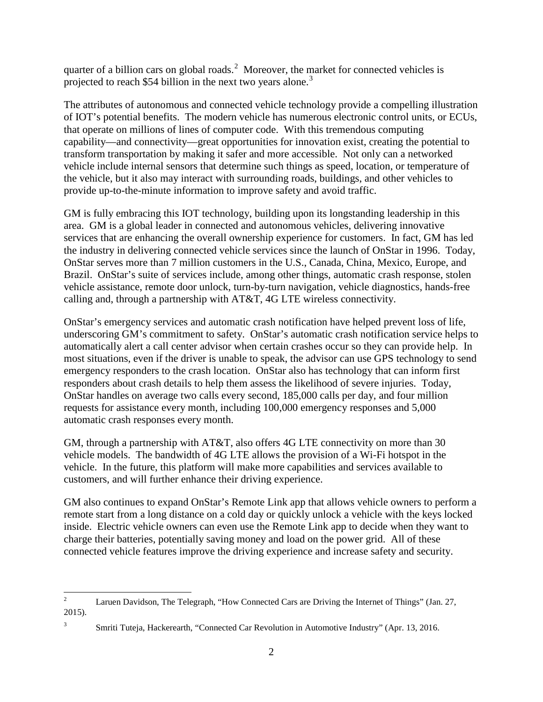quarter of a billion cars on global roads. $2$  Moreover, the market for connected vehicles is projected to reach \$54 billion in the next two years alone.<sup>[3](#page-1-1)</sup>

The attributes of autonomous and connected vehicle technology provide a compelling illustration of IOT's potential benefits. The modern vehicle has numerous electronic control units, or ECUs, that operate on millions of lines of computer code. With this tremendous computing capability—and connectivity—great opportunities for innovation exist, creating the potential to transform transportation by making it safer and more accessible. Not only can a networked vehicle include internal sensors that determine such things as speed, location, or temperature of the vehicle, but it also may interact with surrounding roads, buildings, and other vehicles to provide up-to-the-minute information to improve safety and avoid traffic.

GM is fully embracing this IOT technology, building upon its longstanding leadership in this area. GM is a global leader in connected and autonomous vehicles, delivering innovative services that are enhancing the overall ownership experience for customers. In fact, GM has led the industry in delivering connected vehicle services since the launch of OnStar in 1996. Today, OnStar serves more than 7 million customers in the U.S., Canada, China, Mexico, Europe, and Brazil. OnStar's suite of services include, among other things, automatic crash response, stolen vehicle assistance, remote door unlock, turn-by-turn navigation, vehicle diagnostics, hands-free calling and, through a partnership with AT&T, 4G LTE wireless connectivity.

OnStar's emergency services and automatic crash notification have helped prevent loss of life, underscoring GM's commitment to safety. OnStar's automatic crash notification service helps to automatically alert a call center advisor when certain crashes occur so they can provide help. In most situations, even if the driver is unable to speak, the advisor can use GPS technology to send emergency responders to the crash location. OnStar also has technology that can inform first responders about crash details to help them assess the likelihood of severe injuries. Today, OnStar handles on average two calls every second, 185,000 calls per day, and four million requests for assistance every month, including 100,000 emergency responses and 5,000 automatic crash responses every month.

GM, through a partnership with AT&T, also offers 4G LTE connectivity on more than 30 vehicle models. The bandwidth of 4G LTE allows the provision of a Wi-Fi hotspot in the vehicle. In the future, this platform will make more capabilities and services available to customers, and will further enhance their driving experience.

GM also continues to expand OnStar's Remote Link app that allows vehicle owners to perform a remote start from a long distance on a cold day or quickly unlock a vehicle with the keys locked inside. Electric vehicle owners can even use the Remote Link app to decide when they want to charge their batteries, potentially saving money and load on the power grid. All of these connected vehicle features improve the driving experience and increase safety and security.

<span id="page-1-1"></span>

<span id="page-1-0"></span><sup>&</sup>lt;sup>2</sup> Laruen Davidson, The Telegraph, "How Connected Cars are Driving the Internet of Things" (Jan. 27, 2015).

<sup>&</sup>lt;sup>3</sup> Smriti Tuteja, Hackerearth, "Connected Car Revolution in Automotive Industry" (Apr. 13, 2016.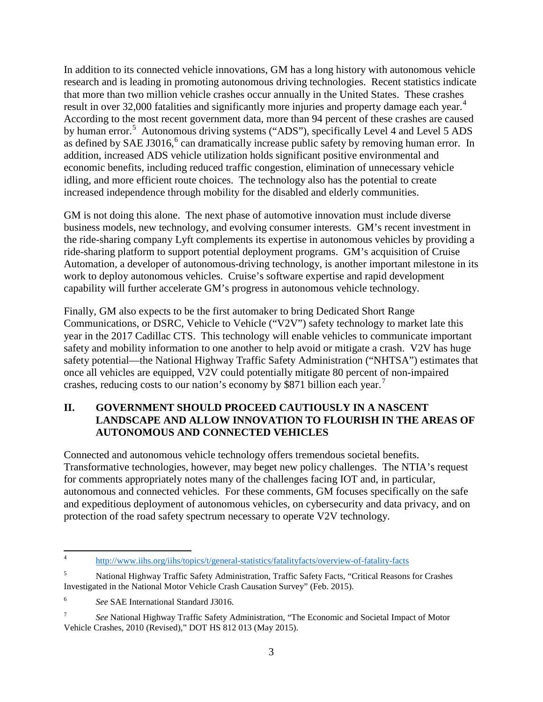In addition to its connected vehicle innovations, GM has a long history with autonomous vehicle research and is leading in promoting autonomous driving technologies. Recent statistics indicate that more than two million vehicle crashes occur annually in the United States. These crashes result in over 32,000 fatalities and significantly more injuries and property damage each year.<sup>[4](#page-2-0)</sup> According to the most recent government data, more than 94 percent of these crashes are caused by human error.<sup>[5](#page-2-1)</sup> Autonomous driving systems ("ADS"), specifically Level 4 and Level 5 ADS as defined by SAE J301[6](#page-2-2),<sup>6</sup> can dramatically increase public safety by removing human error. In addition, increased ADS vehicle utilization holds significant positive environmental and economic benefits, including reduced traffic congestion, elimination of unnecessary vehicle idling, and more efficient route choices. The technology also has the potential to create increased independence through mobility for the disabled and elderly communities.

GM is not doing this alone. The next phase of automotive innovation must include diverse business models, new technology, and evolving consumer interests. GM's recent investment in the ride-sharing company Lyft complements its expertise in autonomous vehicles by providing a ride-sharing platform to support potential deployment programs. GM's acquisition of Cruise Automation, a developer of autonomous-driving technology, is another important milestone in its work to deploy autonomous vehicles. Cruise's software expertise and rapid development capability will further accelerate GM's progress in autonomous vehicle technology.

Finally, GM also expects to be the first automaker to bring Dedicated Short Range Communications, or DSRC, Vehicle to Vehicle ("V2V") safety technology to market late this year in the 2017 Cadillac CTS. This technology will enable vehicles to communicate important safety and mobility information to one another to help avoid or mitigate a crash. V2V has huge safety potential—the National Highway Traffic Safety Administration ("NHTSA") estimates that once all vehicles are equipped, V2V could potentially mitigate 80 percent of non-impaired crashes, reducing costs to our nation's economy by \$8[7](#page-2-3)1 billion each year.<sup>7</sup>

## **II. GOVERNMENT SHOULD PROCEED CAUTIOUSLY IN A NASCENT LANDSCAPE AND ALLOW INNOVATION TO FLOURISH IN THE AREAS OF AUTONOMOUS AND CONNECTED VEHICLES**

Connected and autonomous vehicle technology offers tremendous societal benefits. Transformative technologies, however, may beget new policy challenges. The NTIA's request for comments appropriately notes many of the challenges facing IOT and, in particular, autonomous and connected vehicles. For these comments, GM focuses specifically on the safe and expeditious deployment of autonomous vehicles, on cybersecurity and data privacy, and on protection of the road safety spectrum necessary to operate V2V technology.

<span id="page-2-0"></span><sup>4</sup> <http://www.iihs.org/iihs/topics/t/general-statistics/fatalityfacts/overview-of-fatality-facts>

<span id="page-2-1"></span><sup>5</sup> National Highway Traffic Safety Administration, Traffic Safety Facts, "Critical Reasons for Crashes Investigated in the National Motor Vehicle Crash Causation Survey" (Feb. 2015).

<span id="page-2-2"></span><sup>6</sup> *See* SAE International Standard J3016.

<span id="page-2-3"></span><sup>7</sup> *See* National Highway Traffic Safety Administration, "The Economic and Societal Impact of Motor Vehicle Crashes, 2010 (Revised)," DOT HS 812 013 (May 2015).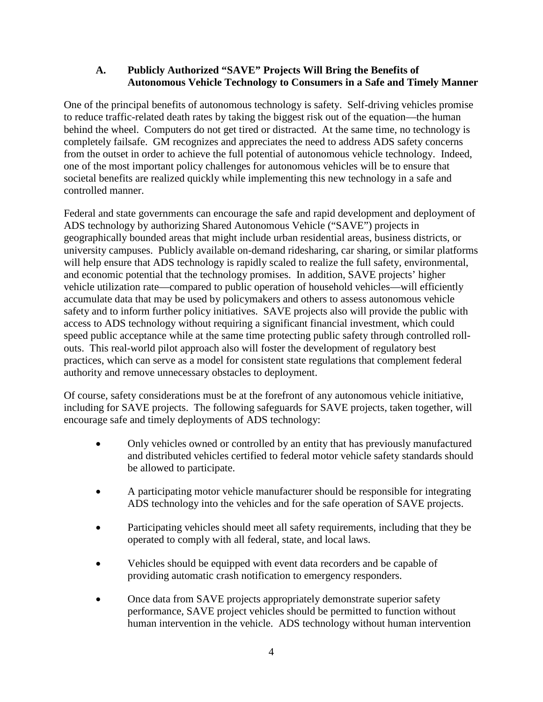### **A. Publicly Authorized "SAVE" Projects Will Bring the Benefits of Autonomous Vehicle Technology to Consumers in a Safe and Timely Manner**

One of the principal benefits of autonomous technology is safety. Self-driving vehicles promise to reduce traffic-related death rates by taking the biggest risk out of the equation—the human behind the wheel. Computers do not get tired or distracted. At the same time, no technology is completely failsafe. GM recognizes and appreciates the need to address ADS safety concerns from the outset in order to achieve the full potential of autonomous vehicle technology. Indeed, one of the most important policy challenges for autonomous vehicles will be to ensure that societal benefits are realized quickly while implementing this new technology in a safe and controlled manner.

Federal and state governments can encourage the safe and rapid development and deployment of ADS technology by authorizing Shared Autonomous Vehicle ("SAVE") projects in geographically bounded areas that might include urban residential areas, business districts, or university campuses. Publicly available on-demand ridesharing, car sharing, or similar platforms will help ensure that ADS technology is rapidly scaled to realize the full safety, environmental, and economic potential that the technology promises. In addition, SAVE projects' higher vehicle utilization rate—compared to public operation of household vehicles—will efficiently accumulate data that may be used by policymakers and others to assess autonomous vehicle safety and to inform further policy initiatives. SAVE projects also will provide the public with access to ADS technology without requiring a significant financial investment, which could speed public acceptance while at the same time protecting public safety through controlled rollouts. This real-world pilot approach also will foster the development of regulatory best practices, which can serve as a model for consistent state regulations that complement federal authority and remove unnecessary obstacles to deployment.

Of course, safety considerations must be at the forefront of any autonomous vehicle initiative, including for SAVE projects. The following safeguards for SAVE projects, taken together, will encourage safe and timely deployments of ADS technology:

- Only vehicles owned or controlled by an entity that has previously manufactured and distributed vehicles certified to federal motor vehicle safety standards should be allowed to participate.
- A participating motor vehicle manufacturer should be responsible for integrating ADS technology into the vehicles and for the safe operation of SAVE projects.
- Participating vehicles should meet all safety requirements, including that they be operated to comply with all federal, state, and local laws.
- Vehicles should be equipped with event data recorders and be capable of providing automatic crash notification to emergency responders.
- Once data from SAVE projects appropriately demonstrate superior safety performance, SAVE project vehicles should be permitted to function without human intervention in the vehicle. ADS technology without human intervention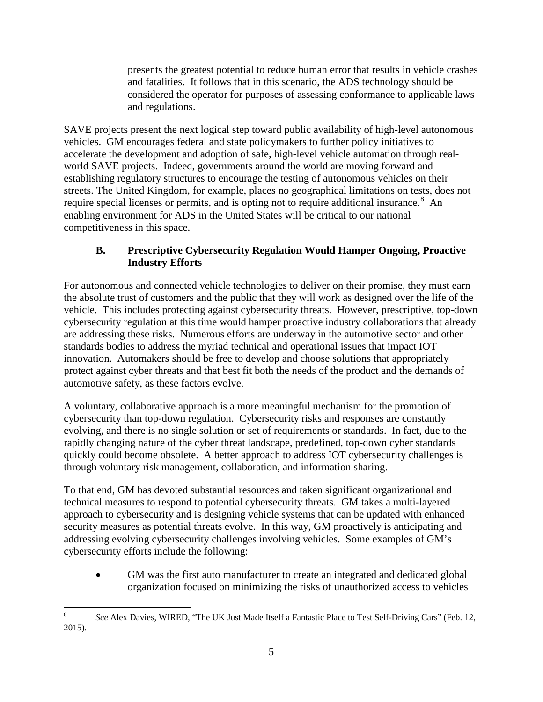presents the greatest potential to reduce human error that results in vehicle crashes and fatalities. It follows that in this scenario, the ADS technology should be considered the operator for purposes of assessing conformance to applicable laws and regulations.

SAVE projects present the next logical step toward public availability of high-level autonomous vehicles. GM encourages federal and state policymakers to further policy initiatives to accelerate the development and adoption of safe, high-level vehicle automation through realworld SAVE projects. Indeed, governments around the world are moving forward and establishing regulatory structures to encourage the testing of autonomous vehicles on their streets. The United Kingdom, for example, places no geographical limitations on tests, does not require special licenses or permits, and is opting not to require additional insurance.<sup>[8](#page-4-0)</sup> An enabling environment for ADS in the United States will be critical to our national competitiveness in this space.

## **B. Prescriptive Cybersecurity Regulation Would Hamper Ongoing, Proactive Industry Efforts**

For autonomous and connected vehicle technologies to deliver on their promise, they must earn the absolute trust of customers and the public that they will work as designed over the life of the vehicle. This includes protecting against cybersecurity threats. However, prescriptive, top-down cybersecurity regulation at this time would hamper proactive industry collaborations that already are addressing these risks. Numerous efforts are underway in the automotive sector and other standards bodies to address the myriad technical and operational issues that impact IOT innovation. Automakers should be free to develop and choose solutions that appropriately protect against cyber threats and that best fit both the needs of the product and the demands of automotive safety, as these factors evolve.

A voluntary, collaborative approach is a more meaningful mechanism for the promotion of cybersecurity than top-down regulation. Cybersecurity risks and responses are constantly evolving, and there is no single solution or set of requirements or standards. In fact, due to the rapidly changing nature of the cyber threat landscape, predefined, top-down cyber standards quickly could become obsolete. A better approach to address IOT cybersecurity challenges is through voluntary risk management, collaboration, and information sharing.

To that end, GM has devoted substantial resources and taken significant organizational and technical measures to respond to potential cybersecurity threats. GM takes a multi-layered approach to cybersecurity and is designing vehicle systems that can be updated with enhanced security measures as potential threats evolve. In this way, GM proactively is anticipating and addressing evolving cybersecurity challenges involving vehicles. Some examples of GM's cybersecurity efforts include the following:

• GM was the first auto manufacturer to create an integrated and dedicated global organization focused on minimizing the risks of unauthorized access to vehicles

<span id="page-4-0"></span><sup>8</sup> *See* Alex Davies, WIRED, "The UK Just Made Itself a Fantastic Place to Test Self-Driving Cars" (Feb. 12, 2015).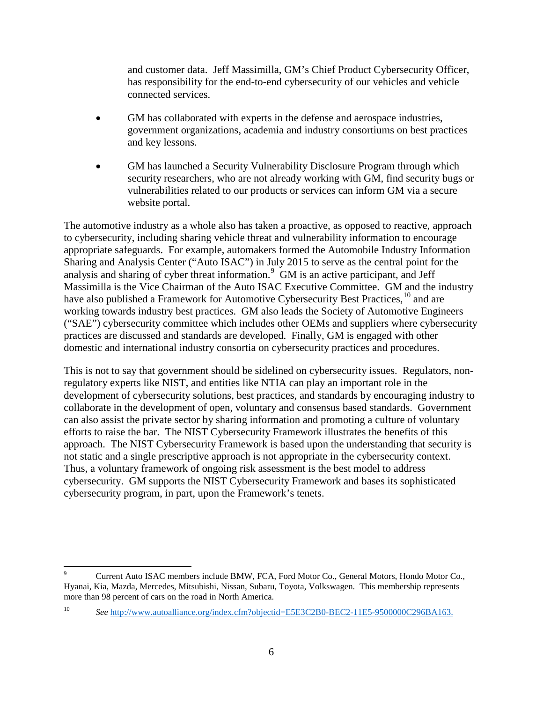and customer data. Jeff Massimilla, GM's Chief Product Cybersecurity Officer, has responsibility for the end-to-end cybersecurity of our vehicles and vehicle connected services.

- GM has collaborated with experts in the defense and aerospace industries, government organizations, academia and industry consortiums on best practices and key lessons.
- GM has launched a Security Vulnerability Disclosure Program through which security researchers, who are not already working with GM, find security bugs or vulnerabilities related to our products or services can inform GM via a secure website portal.

The automotive industry as a whole also has taken a proactive, as opposed to reactive, approach to cybersecurity, including sharing vehicle threat and vulnerability information to encourage appropriate safeguards. For example, automakers formed the Automobile Industry Information Sharing and Analysis Center ("Auto ISAC") in July 2015 to serve as the central point for the analysis and sharing of cyber threat information.<sup>[9](#page-5-0)</sup> GM is an active participant, and Jeff Massimilla is the Vice Chairman of the Auto ISAC Executive Committee. GM and the industry have also published a Framework for Automotive Cybersecurity Best Practices,  $^{10}$  $^{10}$  $^{10}$  and are working towards industry best practices. GM also leads the Society of Automotive Engineers ("SAE") cybersecurity committee which includes other OEMs and suppliers where cybersecurity practices are discussed and standards are developed. Finally, GM is engaged with other domestic and international industry consortia on cybersecurity practices and procedures.

This is not to say that government should be sidelined on cybersecurity issues. Regulators, nonregulatory experts like NIST, and entities like NTIA can play an important role in the development of cybersecurity solutions, best practices, and standards by encouraging industry to collaborate in the development of open, voluntary and consensus based standards. Government can also assist the private sector by sharing information and promoting a culture of voluntary efforts to raise the bar. The NIST Cybersecurity Framework illustrates the benefits of this approach. The NIST Cybersecurity Framework is based upon the understanding that security is not static and a single prescriptive approach is not appropriate in the cybersecurity context. Thus, a voluntary framework of ongoing risk assessment is the best model to address cybersecurity. GM supports the NIST Cybersecurity Framework and bases its sophisticated cybersecurity program, in part, upon the Framework's tenets.

<span id="page-5-0"></span><sup>9</sup> Current Auto ISAC members include BMW, FCA, Ford Motor Co., General Motors, Hondo Motor Co., Hyanai, Kia, Mazda, Mercedes, Mitsubishi, Nissan, Subaru, Toyota, Volkswagen. This membership represents more than 98 percent of cars on the road in North America.

<span id="page-5-1"></span><sup>10</sup> *See* [http://www.autoalliance.org/index.cfm?objectid=E5E3C2B0-BEC2-11E5-9500000C296BA163.](http://www.autoalliance.org/index.cfm?objectid=E5E3C2B0-BEC2-11E5-9500000C296BA163)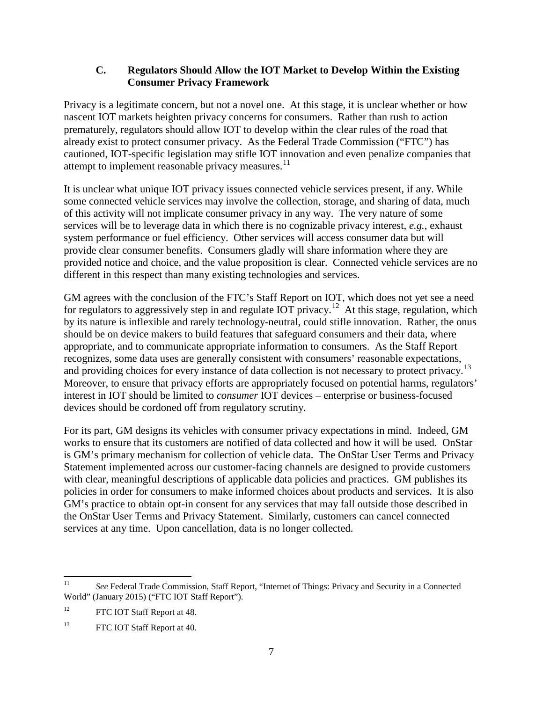### **C. Regulators Should Allow the IOT Market to Develop Within the Existing Consumer Privacy Framework**

Privacy is a legitimate concern, but not a novel one. At this stage, it is unclear whether or how nascent IOT markets heighten privacy concerns for consumers. Rather than rush to action prematurely, regulators should allow IOT to develop within the clear rules of the road that already exist to protect consumer privacy. As the Federal Trade Commission ("FTC") has cautioned, IOT-specific legislation may stifle IOT innovation and even penalize companies that attempt to implement reasonable privacy measures. $^{11}$  $^{11}$  $^{11}$ 

It is unclear what unique IOT privacy issues connected vehicle services present, if any. While some connected vehicle services may involve the collection, storage, and sharing of data, much of this activity will not implicate consumer privacy in any way. The very nature of some services will be to leverage data in which there is no cognizable privacy interest, *e.g.*, exhaust system performance or fuel efficiency. Other services will access consumer data but will provide clear consumer benefits. Consumers gladly will share information where they are provided notice and choice, and the value proposition is clear. Connected vehicle services are no different in this respect than many existing technologies and services.

GM agrees with the conclusion of the FTC's Staff Report on IOT, which does not yet see a need for regulators to aggressively step in and regulate IOT privacy.<sup>12</sup> At this stage, regulation, which by its nature is inflexible and rarely technology-neutral, could stifle innovation. Rather, the onus should be on device makers to build features that safeguard consumers and their data, where appropriate, and to communicate appropriate information to consumers. As the Staff Report recognizes, some data uses are generally consistent with consumers' reasonable expectations, and providing choices for every instance of data collection is not necessary to protect privacy.<sup>[13](#page-6-2)</sup> Moreover, to ensure that privacy efforts are appropriately focused on potential harms, regulators' interest in IOT should be limited to *consumer* IOT devices – enterprise or business-focused devices should be cordoned off from regulatory scrutiny.

For its part, GM designs its vehicles with consumer privacy expectations in mind. Indeed, GM works to ensure that its customers are notified of data collected and how it will be used. OnStar is GM's primary mechanism for collection of vehicle data. The OnStar User Terms and Privacy Statement implemented across our customer-facing channels are designed to provide customers with clear, meaningful descriptions of applicable data policies and practices. GM publishes its policies in order for consumers to make informed choices about products and services. It is also GM's practice to obtain opt-in consent for any services that may fall outside those described in the OnStar User Terms and Privacy Statement. Similarly, customers can cancel connected services at any time. Upon cancellation, data is no longer collected.

<span id="page-6-0"></span><sup>11</sup> *See* Federal Trade Commission, Staff Report, "Internet of Things: Privacy and Security in a Connected World" (January 2015) ("FTC IOT Staff Report").

<span id="page-6-1"></span><sup>&</sup>lt;sup>12</sup> FTC IOT Staff Report at 48.

<span id="page-6-2"></span><sup>&</sup>lt;sup>13</sup> FTC IOT Staff Report at 40.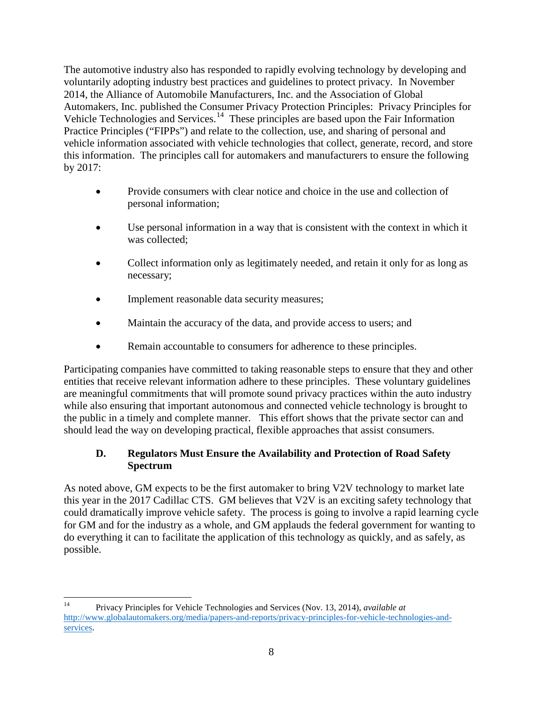The automotive industry also has responded to rapidly evolving technology by developing and voluntarily adopting industry best practices and guidelines to protect privacy. In November 2014, the Alliance of Automobile Manufacturers, Inc. and the Association of Global Automakers, Inc. published the Consumer Privacy Protection Principles: Privacy Principles for Vehicle Technologies and Services.<sup>14</sup> These principles are based upon the Fair Information Practice Principles ("FIPPs") and relate to the collection, use, and sharing of personal and vehicle information associated with vehicle technologies that collect, generate, record, and store this information. The principles call for automakers and manufacturers to ensure the following by 2017:

- Provide consumers with clear notice and choice in the use and collection of personal information;
- Use personal information in a way that is consistent with the context in which it was collected;
- Collect information only as legitimately needed, and retain it only for as long as necessary;
- Implement reasonable data security measures;
- Maintain the accuracy of the data, and provide access to users; and
- Remain accountable to consumers for adherence to these principles.

Participating companies have committed to taking reasonable steps to ensure that they and other entities that receive relevant information adhere to these principles. These voluntary guidelines are meaningful commitments that will promote sound privacy practices within the auto industry while also ensuring that important autonomous and connected vehicle technology is brought to the public in a timely and complete manner. This effort shows that the private sector can and should lead the way on developing practical, flexible approaches that assist consumers.

# **D. Regulators Must Ensure the Availability and Protection of Road Safety Spectrum**

As noted above, GM expects to be the first automaker to bring V2V technology to market late this year in the 2017 Cadillac CTS. GM believes that V2V is an exciting safety technology that could dramatically improve vehicle safety. The process is going to involve a rapid learning cycle for GM and for the industry as a whole, and GM applauds the federal government for wanting to do everything it can to facilitate the application of this technology as quickly, and as safely, as possible.

<span id="page-7-0"></span><sup>14</sup> Privacy Principles for Vehicle Technologies and Services (Nov. 13, 2014), *available at* http://www.globalautomakers.org/media/papers-and-reports/privacy-principles-for-vehicle-technologies-andservices.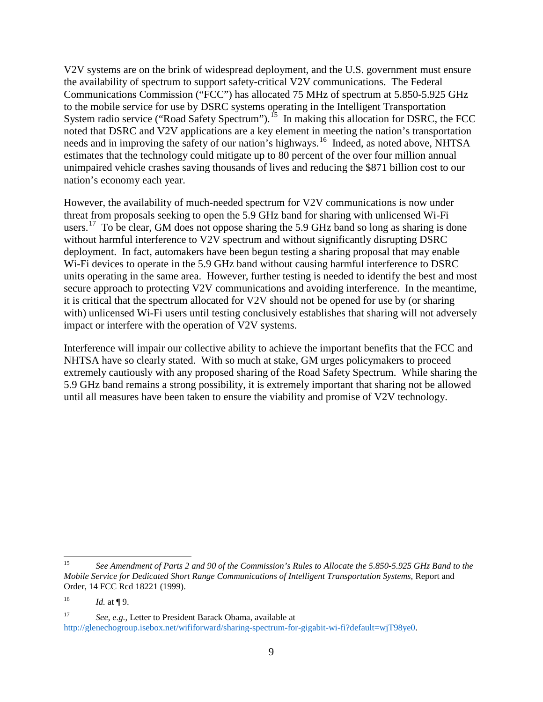V2V systems are on the brink of widespread deployment, and the U.S. government must ensure the availability of spectrum to support safety-critical V2V communications. The Federal Communications Commission ("FCC") has allocated 75 MHz of spectrum at 5.850-5.925 GHz to the mobile service for use by DSRC systems operating in the Intelligent Transportation System radio service ("Road Safety Spectrum").<sup>[15](#page-8-0)</sup> In making this allocation for DSRC, the FCC noted that DSRC and V2V applications are a key element in meeting the nation's transportation needs and in improving the safety of our nation's highways.<sup>16</sup> Indeed, as noted above, NHTSA estimates that the technology could mitigate up to 80 percent of the over four million annual unimpaired vehicle crashes saving thousands of lives and reducing the \$871 billion cost to our nation's economy each year.

However, the availability of much-needed spectrum for V2V communications is now under threat from proposals seeking to open the 5.9 GHz band for sharing with unlicensed Wi-Fi users.<sup>[17](#page-8-2)</sup> To be clear, GM does not oppose sharing the 5.9 GHz band so long as sharing is done without harmful interference to V2V spectrum and without significantly disrupting DSRC deployment. In fact, automakers have been begun testing a sharing proposal that may enable Wi-Fi devices to operate in the 5.9 GHz band without causing harmful interference to DSRC units operating in the same area. However, further testing is needed to identify the best and most secure approach to protecting V2V communications and avoiding interference. In the meantime, it is critical that the spectrum allocated for V2V should not be opened for use by (or sharing with) unlicensed Wi-Fi users until testing conclusively establishes that sharing will not adversely impact or interfere with the operation of V2V systems.

Interference will impair our collective ability to achieve the important benefits that the FCC and NHTSA have so clearly stated. With so much at stake, GM urges policymakers to proceed extremely cautiously with any proposed sharing of the Road Safety Spectrum. While sharing the 5.9 GHz band remains a strong possibility, it is extremely important that sharing not be allowed until all measures have been taken to ensure the viability and promise of V2V technology.

<span id="page-8-0"></span><sup>15</sup> *See Amendment of Parts 2 and 90 of the Commission's Rules to Allocate the 5.850-5.925 GHz Band to the Mobile Service for Dedicated Short Range Communications of Intelligent Transportation Systems,* Report and Order, 14 FCC Rcd 18221 (1999).

<span id="page-8-1"></span> $16$  *Id.* at **[9.**]

<span id="page-8-2"></span><sup>17</sup> *See, e.g.,* Letter to President Barack Obama, available at http://glenechogroup.isebox.net/wififorward/sharing-spectrum-for-gigabit-wi-fi?default=wjT98ye0.